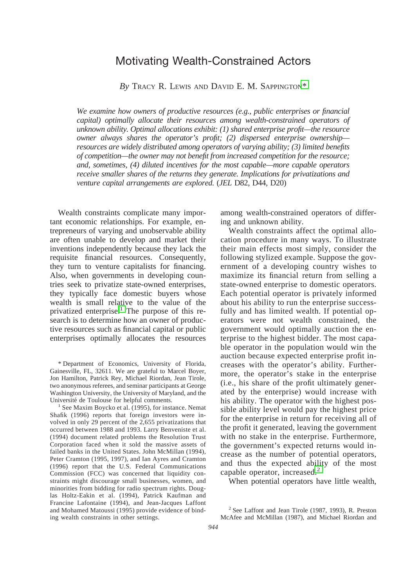*By* TRACY R. LEWIS AND DAVID E. M. SAPPINGTON\*

*We examine how owners of productive resources (e.g., public enterprises or financial capital) optimally allocate their resources among wealth-constrained operators of unknown ability. Optimal allocations exhibit: (1) shared enterprise profit—the resource owner always shares the operator's profit; (2) dispersed enterprise ownership resources are widely distributed among operators of varying ability; (3) limited benefits of competition—the owner may not benefit from increased competition for the resource; and, sometimes, (4) diluted incentives for the most capable—more capable operators receive smaller shares of the returns they generate. Implications for privatizations and venture capital arrangements are explored.* (*JEL* D82, D44, D20)

Wealth constraints complicate many important economic relationships. For example, entrepreneurs of varying and unobservable ability are often unable to develop and market their inventions independently because they lack the requisite financial resources. Consequently, they turn to venture capitalists for financing. Also, when governments in developing countries seek to privatize state-owned enterprises, they typically face domestic buyers whose wealth is small relative to the value of the privatized enterprise.<sup>1</sup> The purpose of this research is to determine how an owner of productive resources such as financial capital or public enterprises optimally allocates the resources

\* Department of Economics, University of Florida, Gainesville, FL, 32611. We are grateful to Marcel Boyer, Jon Hamilton, Patrick Rey, Michael Riordan, Jean Tirole, two anonymous referees, and seminar participants at George Washington University, the University of Maryland, and the Université de Toulouse for helpful comments.<br><sup>1</sup> See Maxim Boycko et al. (1995), for instance. Nemat

Shafik (1996) reports that foreign investors were involved in only 29 percent of the 2,655 privatizations that occurred between 1988 and 1993. Larry Benveniste et al. (1994) document related problems the Resolution Trust Corporation faced when it sold the massive assets of failed banks in the United States. John McMillan (1994), Peter Cramton (1995, 1997), and Ian Ayres and Cramton (1996) report that the U.S. Federal Communications Commission (FCC) was concerned that liquidity constraints might discourage small businesses, women, and minorities from bidding for radio spectrum rights. Douglas Holtz-Eakin et al. (1994), Patrick Kaufman and Francine Lafontaine (1994), and Jean-Jacques Laffont and Mohamed Matoussi (1995) provide evidence of binding wealth constraints in other settings.

among wealth-constrained operators of differing and unknown ability.

Wealth constraints affect the optimal allocation procedure in many ways. To illustrate their main effects most simply, consider the following stylized example. Suppose the government of a developing country wishes to maximize its financial return from selling a state-owned enterprise to domestic operators. Each potential operator is privately informed about his ability to run the enterprise successfully and has limited wealth. If potential operators were not wealth constrained, the government would optimally auction the enterprise to the highest bidder. The most capable operator in the population would win the auction because expected enterprise profit increases with the operator's ability. Furthermore, the operator's stake in the enterprise (i.e., his share of the profit ultimately generated by the enterprise) would increase with his ability. The operator with the highest possible ability level would pay the highest price for the enterprise in return for receiving all of the profit it generated, leaving the government with no stake in the enterprise. Furthermore, the government's expected returns would increase as the number of potential operators, and thus the expected ability of the most capable operator, increased. $<sup>2</sup>$ </sup>

When potential operators have little wealth,

 $2$  See Laffont and Jean Tirole (1987, 1993), R. Preston McAfee and McMillan (1987), and Michael Riordan and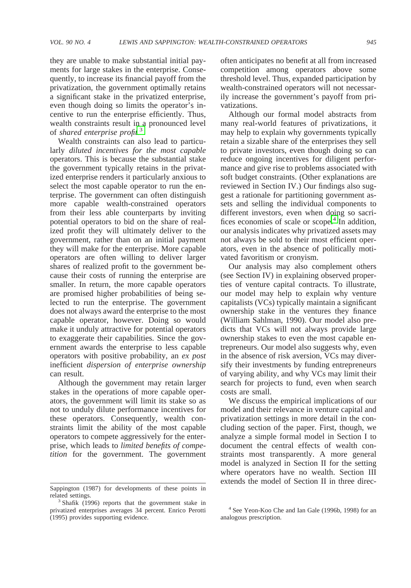they are unable to make substantial initial payments for large stakes in the enterprise. Consequently, to increase its financial payoff from the privatization, the government optimally retains a significant stake in the privatized enterprise, even though doing so limits the operator's incentive to run the enterprise efficiently. Thus, wealth constraints result in a pronounced level of *shared enterprise profit.*<sup>3</sup>

Wealth constraints can also lead to particularly *diluted incentives for the most capable* operators. This is because the substantial stake the government typically retains in the privatized enterprise renders it particularly anxious to select the most capable operator to run the enterprise. The government can often distinguish more capable wealth-constrained operators from their less able counterparts by inviting potential operators to bid on the share of realized profit they will ultimately deliver to the government, rather than on an initial payment they will make for the enterprise. More capable operators are often willing to deliver larger shares of realized profit to the government because their costs of running the enterprise are smaller. In return, the more capable operators are promised higher probabilities of being selected to run the enterprise. The government does not always award the enterprise to the most capable operator, however. Doing so would make it unduly attractive for potential operators to exaggerate their capabilities. Since the government awards the enterprise to less capable operators with positive probability, an *ex post* inefficient *dispersion of enterprise ownership* can result.

Although the government may retain larger stakes in the operations of more capable operators, the government will limit its stake so as not to unduly dilute performance incentives for these operators. Consequently, wealth constraints limit the ability of the most capable operators to compete aggressively for the enterprise, which leads to *limited benefits of competition* for the government. The government often anticipates no benefit at all from increased competition among operators above some threshold level. Thus, expanded participation by wealth-constrained operators will not necessarily increase the government's payoff from privatizations.

Although our formal model abstracts from many real-world features of privatizations, it may help to explain why governments typically retain a sizable share of the enterprises they sell to private investors, even though doing so can reduce ongoing incentives for diligent performance and give rise to problems associated with soft budget constraints. (Other explanations are reviewed in Section IV.) Our findings also suggest a rationale for partitioning government assets and selling the individual components to different investors, even when doing so sacrifices economies of scale or scope.<sup>4</sup> In addition, our analysis indicates why privatized assets may not always be sold to their most efficient operators, even in the absence of politically motivated favoritism or cronyism.

Our analysis may also complement others (see Section IV) in explaining observed properties of venture capital contracts. To illustrate, our model may help to explain why venture capitalists (VCs) typically maintain a significant ownership stake in the ventures they finance (William Sahlman, 1990). Our model also predicts that VCs will not always provide large ownership stakes to even the most capable entrepreneurs. Our model also suggests why, even in the absence of risk aversion, VCs may diversify their investments by funding entrepreneurs of varying ability, and why VCs may limit their search for projects to fund, even when search costs are small.

We discuss the empirical implications of our model and their relevance in venture capital and privatization settings in more detail in the concluding section of the paper. First, though, we analyze a simple formal model in Section I to document the central effects of wealth constraints most transparently. A more general model is analyzed in Section II for the setting where operators have no wealth. Section III extends the model of Section II in three direc-

Sappington (1987) for developments of these points in

related settings. <sup>3</sup> Shafik (1996) reports that the government stake in privatized enterprises averages 34 percent. Enrico Perotti (1995) provides supporting evidence.

<sup>4</sup> See Yeon-Koo Che and Ian Gale (1996b, 1998) for an analogous prescription.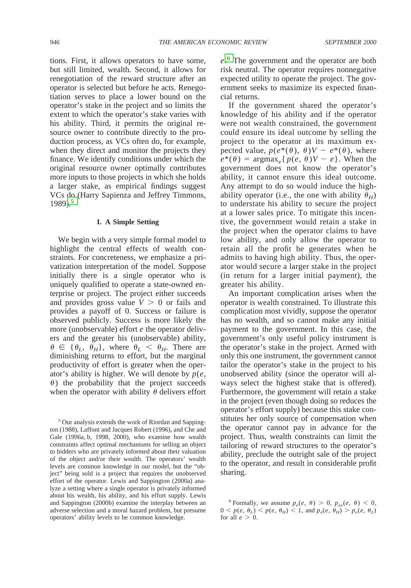tions. First, it allows operators to have some, but still limited, wealth. Second, it allows for renegotiation of the reward structure after an operator is selected but before he acts. Renegotiation serves to place a lower bound on the operator's stake in the project and so limits the extent to which the operator's stake varies with his ability. Third, it permits the original resource owner to contribute directly to the production process, as VCs often do, for example, when they direct and monitor the projects they finance. We identify conditions under which the original resource owner optimally contributes more inputs to those projects in which she holds a larger stake, as empirical findings suggest VCs do (Harry Sapienza and Jeffrey Timmons,  $1989$ <sup>5</sup>

#### **I. A Simple Setting**

We begin with a very simple formal model to highlight the central effects of wealth constraints. For concreteness, we emphasize a privatization interpretation of the model. Suppose initially there is a single operator who is uniquely qualified to operate a state-owned enterprise or project. The project either succeeds and provides gross value  $V > 0$  or fails and provides a payoff of 0. Success or failure is observed publicly. Success is more likely the more (unobservable) effort *e* the operator delivers and the greater his (unobservable) ability,  $\theta \in {\theta_L, \theta_H}$ , where  $\theta_L < \theta_H$ . There are diminishing returns to effort, but the marginal productivity of effort is greater when the operator's ability is higher. We will denote by  $p(e,$  $\theta$ ) the probability that the project succeeds when the operator with ability  $\theta$  delivers effort

<sup>5</sup> Our analysis extends the work of Riordan and Sappington (1988), Laffont and Jacques Robert (1996), and Che and Gale (1996a, b, 1998, 2000), who examine how wealth constraints affect optimal mechanisms for selling an object to bidders who are privately informed about their valuation of the object and/or their wealth. The operators' wealth levels are common knowledge in our model, but the "object" being sold is a project that requires the unobserved effort of the operator. Lewis and Sappington (2000a) analyze a setting where a single operator is privately informed about his wealth, his ability, and his effort supply. Lewis and Sappington (2000b) examine the interplay between an adverse selection and a moral hazard problem, but presume operators' ability levels to be common knowledge.

*e*. <sup>6</sup> The government and the operator are both risk neutral. The operator requires nonnegative expected utility to operate the project. The government seeks to maximize its expected financial returns.

If the government shared the operator's knowledge of his ability and if the operator were not wealth constrained, the government could ensure its ideal outcome by selling the project to the operator at its maximum expected value,  $p(e^*(\theta), \theta)V - e^*(\theta)$ , where  $e^*(\theta) = \argmax_e\{p(e, \theta)V - e\}$ . When the government does not know the operator's ability, it cannot ensure this ideal outcome. Any attempt to do so would induce the highability operator (i.e., the one with ability  $\theta_H$ ) to understate his ability to secure the project at a lower sales price. To mitigate this incentive, the government would retain a stake in the project when the operator claims to have low ability, and only allow the operator to retain all the profit he generates when he admits to having high ability. Thus, the operator would secure a larger stake in the project (in return for a larger initial payment), the greater his ability.

An important complication arises when the operator is wealth constrained. To illustrate this complication most vividly, suppose the operator has no wealth, and so cannot make any initial payment to the government. In this case, the government's only useful policy instrument is the operator's stake in the project. Armed with only this one instrument, the government cannot tailor the operator's stake in the project to his unobserved ability (since the operator will always select the highest stake that is offered). Furthermore, the government will retain a stake in the project (even though doing so reduces the operator's effort supply) because this stake constitutes her only source of compensation when the operator cannot pay in advance for the project. Thus, wealth constraints can limit the tailoring of reward structures to the operator's ability, preclude the outright sale of the project to the operator, and result in considerable profit sharing.

<sup>&</sup>lt;sup>6</sup> Formally, we assume  $p_e(e, \theta) > 0$ ,  $p_{ee}(e, \theta) < 0$ ,  $0 < p(e, \theta_L) < p(e, \theta_H) < 1$ , and  $p_e(e, \theta_H) > p_e(e, \theta_L)$ for all  $e > 0$ .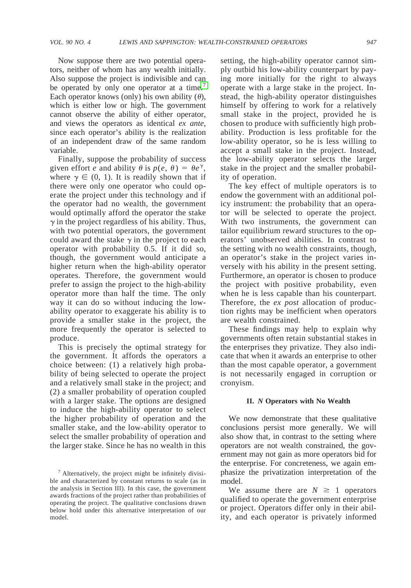Now suppose there are two potential operators, neither of whom has any wealth initially. Also suppose the project is indivisible and can be operated by only one operator at a time.<sup>7</sup> Each operator knows (only) his own ability  $(\theta)$ , which is either low or high. The government cannot observe the ability of either operator, and views the operators as identical *ex ante,* since each operator's ability is the realization of an independent draw of the same random variable.

Finally, suppose the probability of success given effort *e* and ability  $\theta$  is  $p(e, \theta) = \theta e^{\gamma}$ , where  $\gamma \in (0, 1)$ . It is readily shown that if there were only one operator who could operate the project under this technology and if the operator had no wealth, the government would optimally afford the operator the stake  $\gamma$  in the project regardless of his ability. Thus, with two potential operators, the government could award the stake  $\gamma$  in the project to each operator with probability 0.5. If it did so, though, the government would anticipate a higher return when the high-ability operator operates. Therefore, the government would prefer to assign the project to the high-ability operator more than half the time. The only way it can do so without inducing the lowability operator to exaggerate his ability is to provide a smaller stake in the project, the more frequently the operator is selected to produce.

This is precisely the optimal strategy for the government. It affords the operators a choice between: (1) a relatively high probability of being selected to operate the project and a relatively small stake in the project; and (2) a smaller probability of operation coupled with a larger stake. The options are designed to induce the high-ability operator to select the higher probability of operation and the smaller stake, and the low-ability operator to select the smaller probability of operation and the larger stake. Since he has no wealth in this

setting, the high-ability operator cannot simply outbid his low-ability counterpart by paying more initially for the right to always operate with a large stake in the project. Instead, the high-ability operator distinguishes himself by offering to work for a relatively small stake in the project, provided he is chosen to produce with sufficiently high probability. Production is less profitable for the low-ability operator, so he is less willing to accept a small stake in the project. Instead, the low-ability operator selects the larger stake in the project and the smaller probability of operation.

The key effect of multiple operators is to endow the government with an additional policy instrument: the probability that an operator will be selected to operate the project. With two instruments, the government can tailor equilibrium reward structures to the operators' unobserved abilities. In contrast to the setting with no wealth constraints, though, an operator's stake in the project varies inversely with his ability in the present setting. Furthermore, an operator is chosen to produce the project with positive probability, even when he is less capable than his counterpart. Therefore, the *ex post* allocation of production rights may be inefficient when operators are wealth constrained.

These findings may help to explain why governments often retain substantial stakes in the enterprises they privatize. They also indicate that when it awards an enterprise to other than the most capable operator, a government is not necessarily engaged in corruption or cronyism.

#### **II.** *N* **Operators with No Wealth**

We now demonstrate that these qualitative conclusions persist more generally. We will also show that, in contrast to the setting where operators are not wealth constrained, the government may not gain as more operators bid for the enterprise. For concreteness, we again emphasize the privatization interpretation of the model.

We assume there are  $N \geq 1$  operators qualified to operate the government enterprise or project. Operators differ only in their ability, and each operator is privately informed

 $<sup>7</sup>$  Alternatively, the project might be infinitely divisi-</sup> ble and characterized by constant returns to scale (as in the analysis in Section III). In this case, the government awards fractions of the project rather than probabilities of operating the project. The qualitative conclusions drawn below hold under this alternative interpretation of our model.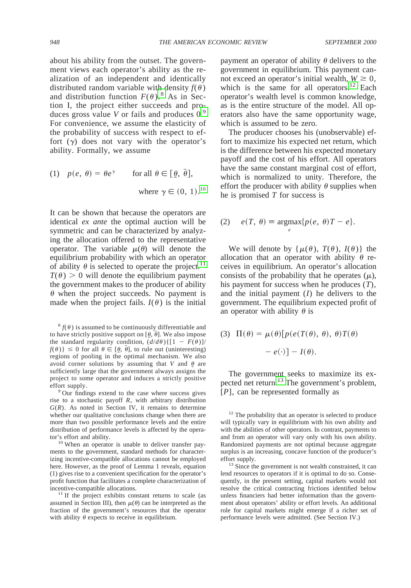about his ability from the outset. The government views each operator's ability as the realization of an independent and identically distributed random variable with density  $f(\theta)$ and distribution function  $F(\theta)$ .<sup>8</sup> As in Section I, the project either succeeds and produces gross value *V* or fails and produces 0.<sup>9</sup> For convenience, we assume the elasticity of the probability of success with respect to effort  $(y)$  does not vary with the operator's ability. Formally, we assume

(1) 
$$
p(e, \theta) = \theta e^{\gamma}
$$
 for all  $\theta \in [\underline{\theta}, \overline{\theta}],$   
where  $\gamma \in (0, 1)$ .<sup>10</sup>

It can be shown that because the operators are identical *ex ante* the optimal auction will be symmetric and can be characterized by analyzing the allocation offered to the representative operator. The variable  $\mu(\theta)$  will denote the equilibrium probability with which an operator of ability  $\theta$  is selected to operate the project.<sup>11</sup>  $T(\theta) > 0$  will denote the equilibrium payment the government makes to the producer of ability  $\theta$  when the project succeeds. No payment is made when the project fails.  $I(\theta)$  is the initial

 ${}^8f(\theta)$  is assumed to be continuously differentiable and to have strictly positive support on  $[\theta, \bar{\theta}]$ . We also impose the standard regularity condition,  $(d/d\theta)$  { $[1 - F(\theta)]$ /  $f(\theta)$ }  $\leq$  0 for all  $\theta \in [\theta, \overline{\theta}]$ , to rule out (uninteresting) regions of pooling in the optimal mechanism. We also avoid corner solutions by assuming that *V* and  $\theta$  are sufficiently large that the government always assigns the project to some operator and induces a strictly positive effort supply.<br><sup>9</sup> Our findings extend to the case where success gives

rise to a stochastic payoff *R*, with arbitrary distribution  $G(R)$ . As noted in Section IV, it remains to determine whether our qualitative conclusions change when there are more than two possible performance levels and the entire distribution of performance levels is affected by the operator's effort and ability.<br> $10$  When an operator is unable to deliver transfer pay-

ments to the government, standard methods for characterizing incentive-compatible allocations cannot be employed here. However, as the proof of Lemma 1 reveals, equation (1) gives rise to a convenient specification for the operator's profit function that facilitates a complete characterization of incentive-compatible allocations. <sup>11</sup> If the project exhibits constant returns to scale (as

assumed in Section III), then  $\mu(\theta)$  can be interpreted as the fraction of the government's resources that the operator with ability  $\theta$  expects to receive in equilibrium.

payment an operator of ability  $\theta$  delivers to the government in equilibrium. This payment cannot exceed an operator's initial wealth,  $W \ge 0$ , which is the same for all operators.<sup>12</sup> Each operator's wealth level is common knowledge, as is the entire structure of the model. All operators also have the same opportunity wage, which is assumed to be zero.

The producer chooses his (unobservable) effort to maximize his expected net return, which is the difference between his expected monetary payoff and the cost of his effort. All operators have the same constant marginal cost of effort, which is normalized to unity. Therefore, the effort the producer with ability  $\theta$  supplies when he is promised *T* for success is

(2) 
$$
e(T, \theta) \equiv \underset{e}{\operatorname{argmax}} \{p(e, \theta)T - e\}.
$$

We will denote by  $\{\mu(\theta), T(\theta), I(\theta)\}\)$  the allocation that an operator with ability  $\theta$  receives in equilibrium. An operator's allocation consists of the probability that he operates  $(\mu)$ , his payment for success when he produces (*T*), and the initial payment (*I*) he delivers to the government. The equilibrium expected profit of an operator with ability  $\theta$  is

(3) 
$$
\Pi(\theta) = \mu(\theta) [p(e(T(\theta), \theta), \theta) T(\theta)
$$
  
 $- e(\cdot)] - I(\theta).$ 

The government seeks to maximize its expected net return.<sup>13</sup> The government's problem, [*P*], can be represented formally as

<sup>12</sup> The probability that an operator is selected to produce will typically vary in equilibrium with his own ability and with the abilities of other operators. In contrast, payments to and from an operator will vary only with his own ability. Randomized payments are not optimal because aggregate surplus is an increasing, concave function of the producer's

effort supply.<br><sup>13</sup> Since the government is not wealth constrained, it can lend resources to operators if it is optimal to do so. Consequently, in the present setting, capital markets would not resolve the critical contracting frictions identified below unless financiers had better information than the government about operators' ability or effort levels. An additional role for capital markets might emerge if a richer set of performance levels were admitted. (See Section IV.)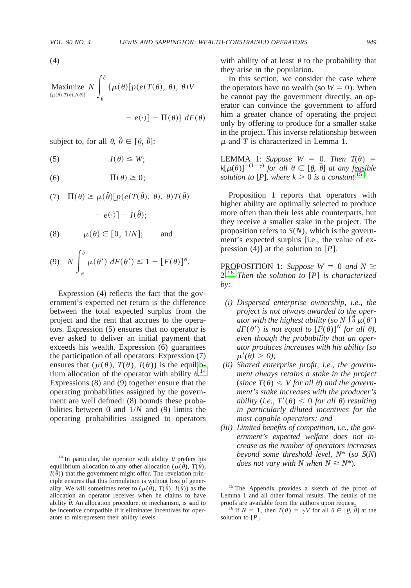(4)

Maximize 
$$
N \int_{\theta}^{\bar{\theta}} {\{\mu(\theta) [p(e(T(\theta), \theta), \theta) \}} V
$$

$$
- e(\cdot) \rbrack - \Pi(\theta) \rbrack dF(\theta)
$$

subject to, for all  $\theta$ ,  $\hat{\theta} \in [\theta, \bar{\theta}]$ :

$$
(5) \tI(\theta) \leq W;
$$

(6)  $\Pi(\theta) \geq 0;$ 

(7) 
$$
\Pi(\theta) \ge \mu(\hat{\theta})[p(e(T(\hat{\theta}), \theta), \theta)T(\hat{\theta}) - e(\cdot)] - I(\hat{\theta});
$$

$$
(8) \qquad \mu(\theta) \in [0, 1/N]; \qquad \text{and}
$$

$$
(9) \quad N \int_{\theta}^{\bar{\theta}} \mu(\theta') \, dF(\theta') \le 1 - [F(\theta)]^N.
$$

Expression (4) reflects the fact that the government's expected net return is the difference between the total expected surplus from the project and the rent that accrues to the operators. Expression (5) ensures that no operator is ever asked to deliver an initial payment that exceeds his wealth. Expression (6) guarantees the participation of all operators. Expression (7) ensures that  $(\mu(\theta), T(\theta), I(\theta))$  is the equilibrium allocation of the operator with ability  $\theta$ .<sup>14</sup> Expressions (8) and (9) together ensure that the operating probabilities assigned by the government are well defined: (8) bounds these probabilities between 0 and 1/*N* and (9) limits the operating probabilities assigned to operators

with ability of at least  $\theta$  to the probability that they arise in the population.

In this section, we consider the case where the operators have no wealth (so  $W = 0$ ). When he cannot pay the government directly, an operator can convince the government to afford him a greater chance of operating the project only by offering to produce for a smaller stake in the project. This inverse relationship between  $\mu$  and *T* is characterized in Lemma 1.

LEMMA 1: *Suppose*  $W = 0$ . *Then*  $T(\theta) =$  $k[\mu(\theta)]^{-(1-\gamma)}$  *for all*  $\theta \in [\underline{\theta}, \overline{\theta}]$  *at any feasible solution to* [*P*], *where*  $k > 0$  *is a constant.*<sup>15</sup>

Proposition 1 reports that operators with higher ability are optimally selected to produce more often than their less able counterparts, but they receive a smaller stake in the project. The proposition refers to *S*(*N*), which is the government's expected surplus [i.e., the value of expression (4)] at the solution to [*P*].

PROPOSITION 1: *Suppose*  $W = 0$  *and*  $N \geq$ 2.<sup>16</sup> *Then the solution to* [*P*] *is characterized by:*

- *(i) Dispersed enterprise ownership, i.e., the project is not always awarded to the operator with the highest ability* (so N  $\int_{a}^{b} \mu(\theta')$  $dF(\theta')$  *is not equal to*  $[F(\theta)]^N$  *for all*  $\theta$ *), even though the probability that an operator produces increases with his ability* (*so*  $\mu'(\theta) > 0$ ;
- *(ii) Shared enterprise profit, i.e., the government always retains a stake in the project*  $(since T(\theta) < V for all \theta)$  *and the government's stake increases with the producer's ability* (*i.e.,*  $T'(\theta) < 0$  *for all*  $\theta$ ) *resulting in particularly diluted incentives for the most capable operators; and*
- *(iii) Limited benefits of competition, i.e., the government's expected welfare does not increase as the number of operators increases beyond some threshold level, N*\* (*so S*(*N*)

<sup>&</sup>lt;sup>14</sup> In particular, the operator with ability  $\theta$  prefers his *does not vary with N when N*  $\geq N^*$ ). equilibrium allocation to any other allocation ( $\mu(\hat{\theta})$ ,  $T(\hat{\theta})$ ,  $I(\hat{\theta})$ ) that the government might offer. The revelation principle ensures that this formulation is without loss of generality. We will sometimes refer to  $(\mu(\hat{\theta}), T(\hat{\theta}), I(\hat{\theta}))$  as the allocation an operator receives when he claims to have ability  $\hat{\theta}$ . An allocation procedure, or mechanism, is said to be incentive compatible if it eliminates incentives for operators to misrepresent their ability levels.

<sup>&</sup>lt;sup>15</sup> The Appendix provides a sketch of the proof of Lemma 1 and all other formal results. The details of the

<sup>&</sup>lt;sup>16</sup> If  $N = 1$ , then  $T(\theta) = \gamma V$  for all  $\theta \in [\theta, \overline{\theta}]$  at the solution to [*P*].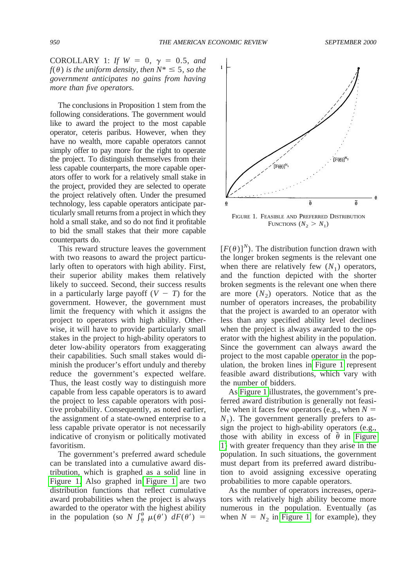<span id="page-6-0"></span>COROLLARY 1: *If*  $W = 0$ ,  $\gamma = 0.5$ , *and*  $f(\theta)$  *is the uniform density, then*  $N^* \leq 5$ *, so the government anticipates no gains from having more than five operators.*

The conclusions in Proposition 1 stem from the following considerations. The government would like to award the project to the most capable operator, ceteris paribus. However, when they have no wealth, more capable operators cannot simply offer to pay more for the right to operate the project. To distinguish themselves from their less capable counterparts, the more capable operators offer to work for a relatively small stake in the project, provided they are selected to operate the project relatively often. Under the presumed technology, less capable operators anticipate particularly small returns from a project in which they hold a small stake, and so do not find it profitable to bid the small stakes that their more capable counterparts do.

This reward structure leaves the government with two reasons to award the project particularly often to operators with high ability. First, their superior ability makes them relatively likely to succeed. Second, their success results in a particularly large payoff  $(V - T)$  for the government. However, the government must limit the frequency with which it assigns the project to operators with high ability. Otherwise, it will have to provide particularly small stakes in the project to high-ability operators to deter low-ability operators from exaggerating their capabilities. Such small stakes would diminish the producer's effort unduly and thereby reduce the government's expected welfare. Thus, the least costly way to distinguish more capable from less capable operators is to award the project to less capable operators with positive probability. Consequently, as noted earlier, the assignment of a state-owned enterprise to a less capable private operator is not necessarily indicative of cronyism or politically motivated favoritism.

The government's preferred award schedule can be translated into a cumulative award distribution, which is graphed as a solid line in Figure 1. Also graphed in Figure 1 are two distribution functions that reflect cumulative award probabilities when the project is always awarded to the operator with the highest ability in the population (so *N*  $\int_{\theta}^{\theta} \mu(\theta') dF(\theta') =$ 

 $[F(\theta)]^N$ ). The distribution function drawn with the longer broken segments is the relevant one when there are relatively few  $(N_1)$  operators, and the function depicted with the shorter broken segments is the relevant one when there are more  $(N_2)$  operators. Notice that as the number of operators increases, the probability that the project is awarded to an operator with less than any specified ability level declines when the project is always awarded to the operator with the highest ability in the population. Since the government can always award the project to the most capable operator in the population, the broken lines in Figure 1 represent feasible award distributions, which vary with the number of bidders.

As Figure 1 illustrates, the government's preferred award distribution is generally not feasible when it faces few operators (e.g., when  $N =$  $N_1$ ). The government generally prefers to assign the project to high-ability operators (e.g., those with ability in excess of  $\tilde{\theta}$  in Figure 1) with greater frequency than they arise in the population. In such situations, the government must depart from its preferred award distribution to avoid assigning excessive operating probabilities to more capable operators.

As the number of operators increases, operators with relatively high ability become more numerous in the population. Eventually (as when  $N = N_2$  in Figure 1, for example), they

FIGURE 1. FEASIBLE AND PREFERRED DISTRIBUTION FUNCTIONS  $(N_2 > N_1)$ 

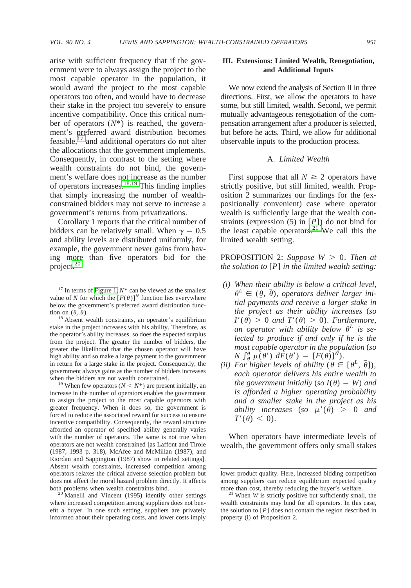arise with sufficient frequency that if the government were to always assign the project to the most capable operator in the population, it would award the project to the most capable operators too often, and would have to decrease their stake in the project too severely to ensure incentive compatibility. Once this critical number of operators (*N*\*) is reached, the government's preferred award distribution becomes feasible, $^{17}$  and additional operators do not alter the allocations that the government implements. Consequently, in contrast to the setting where wealth constraints do not bind, the government's welfare does not increase as the number of operators increases.18,19 This finding implies that simply increasing the number of wealthconstrained bidders may not serve to increase a government's returns from privatizations.

Corollary 1 reports that the critical number of bidders can be relatively small. When  $\gamma = 0.5$ and ability levels are distributed uniformly, for example, the government never gains from having more than five operators bid for the project.<sup>20</sup>

<sup>18</sup> Absent wealth constraints, an operator's equilibrium stake in the project increases with his ability. Therefore, as the operator's ability increases, so does the expected surplus from the project. The greater the number of bidders, the greater the likelihood that the chosen operator will have high ability and so make a large payment to the government in return for a large stake in the project. Consequently, the government always gains as the number of bidders increases when the bidders are not wealth constrained.<br><sup>19</sup> When few operators ( $N < N^*$ ) are present initially, an

increase in the number of operators enables the government to assign the project to the most capable operators with greater frequency. When it does so, the government is forced to reduce the associated reward for success to ensure incentive compatibility. Consequently, the reward structure afforded an operator of specified ability generally varies with the number of operators. The same is not true when operators are not wealth constrained [as Laffont and Tirole (1987, 1993 p. 318), McAfee and McMillan (1987), and Riordan and Sappington (1987) show in related settings]. Absent wealth constraints, increased competition among operators relaxes the critical adverse selection problem but does not affect the moral hazard problem directly. It affects both problems when wealth constraints bind. <sup>20</sup> Manelli and Vincent (1995) identify other settings

where increased competition among suppliers does not benefit a buyer. In one such setting, suppliers are privately informed about their operating costs, and lower costs imply

## **III. Extensions: Limited Wealth, Renegotiation, and Additional Inputs**

We now extend the analysis of Section II in three directions. First, we allow the operators to have some, but still limited, wealth. Second, we permit mutually advantageous renegotiation of the compensation arrangement after a producer is selected, but before he acts. Third, we allow for additional observable inputs to the production process.

## A. *Limited Wealth*

First suppose that all  $N \geq 2$  operators have strictly positive, but still limited, wealth. Proposition 2 summarizes our findings for the (expositionally convenient) case where operator wealth is sufficiently large that the wealth constraints (expression (5) in [*P*]) do not bind for the least capable operators.<sup>21</sup> We call this the limited wealth setting.

## PROPOSITION 2: *Suppose*  $W > 0$ . *Then at the solution to* [*P*] *in the limited wealth setting:*

- *(i) When their ability is below a critical level,*  $\theta^L \in (\theta, \overline{\theta})$ , *operators deliver larger initial payments and receive a larger stake in the project as their ability increases* (*so*  $I'(\theta) > 0$  *and*  $T'(\theta) > 0$ *). Furthermore,* an operator with ability below  $\theta^L$  is se*lected to produce if and only if he is the most capable operator in the population* (*so*  $N \int_{\theta}^{\theta} \mu(\theta') d\hat{F}(\theta') = [F(\theta)]^N$ .
- *(ii)* For higher levels of ability  $(\theta \in [\theta^L, \bar{\theta}])$ , *each operator delivers his entire wealth to the government initially* (*so*  $I(\theta) = W$ *) and is afforded a higher operating probability and a smaller stake in the project as his ability increases* (*so*  $\mu'(\theta) > 0$  *and*  $T'(\theta) < 0$ ).

When operators have intermediate levels of wealth, the government offers only small stakes

 $17$  In terms of [Figure 1,](#page-6-0)  $N^*$  can be viewed as the smallest value of *N* for which the  $[F(\theta)]^N$  function lies everywhere below the government's preferred award distribution function on  $(\theta, \bar{\theta})$ .

lower product quality. Here, increased bidding competition among suppliers can reduce equilibrium expected quality

more than cost, thereby reducing the buyer's welfare. <sup>21</sup> When *W* is strictly positive but sufficiently small, the wealth constraints may bind for all operators. In this case, the solution to [*P*] does not contain the region described in property (i) of Proposition 2.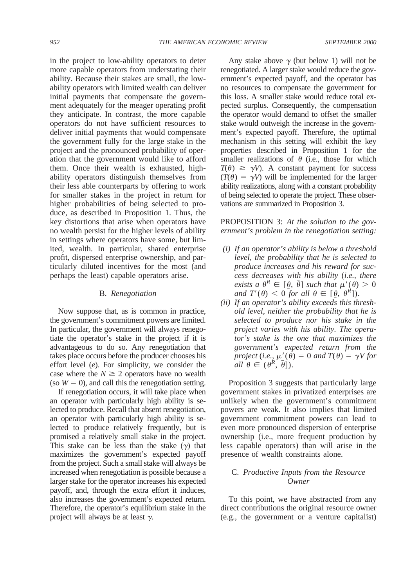in the project to low-ability operators to deter more capable operators from understating their ability. Because their stakes are small, the lowability operators with limited wealth can deliver initial payments that compensate the government adequately for the meager operating profit they anticipate. In contrast, the more capable operators do not have sufficient resources to deliver initial payments that would compensate the government fully for the large stake in the project and the pronounced probability of operation that the government would like to afford them. Once their wealth is exhausted, highability operators distinguish themselves from their less able counterparts by offering to work for smaller stakes in the project in return for higher probabilities of being selected to produce, as described in Proposition 1. Thus, the key distortions that arise when operators have no wealth persist for the higher levels of ability in settings where operators have some, but limited, wealth. In particular, shared enterprise profit, dispersed enterprise ownership, and particularly diluted incentives for the most (and perhaps the least) capable operators arise.

#### B. *Renegotiation*

Now suppose that, as is common in practice, the government's commitment powers are limited. In particular, the government will always renegotiate the operator's stake in the project if it is advantageous to do so. Any renegotiation that takes place occurs before the producer chooses his effort level (*e*). For simplicity, we consider the case where the  $N \geq 2$  operators have no wealth (so  $W = 0$ ), and call this the renegotiation setting.

If renegotiation occurs, it will take place when an operator with particularly high ability is selected to produce. Recall that absent renegotiation, an operator with particularly high ability is selected to produce relatively frequently, but is promised a relatively small stake in the project. This stake can be less than the stake  $(y)$  that maximizes the government's expected payoff from the project. Such a small stake will always be increased when renegotiation is possible because a larger stake for the operator increases his expected payoff, and, through the extra effort it induces, also increases the government's expected return. Therefore, the operator's equilibrium stake in the project will always be at least  $\gamma$ .

Any stake above  $\gamma$  (but below 1) will not be renegotiated. A larger stake would reduce the government's expected payoff, and the operator has no resources to compensate the government for this loss. A smaller stake would reduce total expected surplus. Consequently, the compensation the operator would demand to offset the smaller stake would outweigh the increase in the government's expected payoff. Therefore, the optimal mechanism in this setting will exhibit the key properties described in Proposition 1 for the smaller realizations of  $\theta$  (i.e., those for which  $T(\theta) \ge \gamma V$ . A constant payment for success  $(T(\theta) = \gamma V)$  will be implemented for the larger ability realizations, along with a constant probability of being selected to operate the project. These observations are summarized in Proposition 3.

PROPOSITION 3: *At the solution to the government's problem in the renegotiation setting:*

- *(i) If an operator's ability is below a threshold level, the probability that he is selected to produce increases and his reward for success decreases with his ability* (*i.e., there exists a*  $\theta^R \in [\theta, \overline{\theta}]$  *such that*  $\mu'(\theta) > 0$ *and*  $T'(\theta) < 0$  *for all*  $\theta \in [\theta, \theta^R]$ .
- *(ii) If an operator's ability exceeds this threshold level, neither the probability that he is selected to produce nor his stake in the project varies with his ability. The operator's stake is the one that maximizes the government's expected return from the project* (*i.e.*,  $\mu'(\theta) = 0$  *and*  $T(\theta) = \gamma V$  *for*  $\hat{all} \theta \in (\theta^R, \overline{\theta}])$ .

Proposition 3 suggests that particularly large government stakes in privatized enterprises are unlikely when the government's commitment powers are weak. It also implies that limited government commitment powers can lead to even more pronounced dispersion of enterprise ownership (i.e., more frequent production by less capable operators) than will arise in the presence of wealth constraints alone.

# C. *Productive Inputs from the Resource Owner*

To this point, we have abstracted from any direct contributions the original resource owner (e.g., the government or a venture capitalist)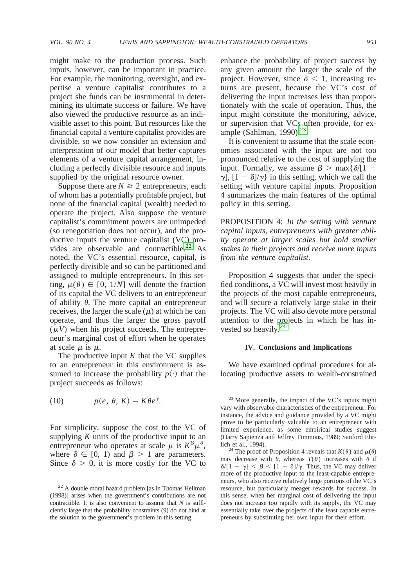might make to the production process. Such inputs, however, can be important in practice. For example, the monitoring, oversight, and expertise a venture capitalist contributes to a project she funds can be instrumental in determining its ultimate success or failure. We have also viewed the productive resource as an indivisible asset to this point. But resources like the financial capital a venture capitalist provides are divisible, so we now consider an extension and interpretation of our model that better captures elements of a venture capital arrangement, including a perfectly divisible resource and inputs supplied by the original resource owner.

Suppose there are  $N \ge 2$  entrepreneurs, each of whom has a potentially profitable project, but none of the financial capital (wealth) needed to operate the project. Also suppose the venture capitalist's commitment powers are unimpeded (so renegotiation does not occur), and the productive inputs the venture capitalist (VC) provides are observable and contractible.<sup>22</sup> As noted, the VC's essential resource, capital, is perfectly divisible and so can be partitioned and assigned to multiple entrepreneurs. In this setting,  $\mu(\theta) \in [0, 1/N]$  will denote the fraction of its capital the VC delivers to an entrepreneur of ability  $\theta$ . The more capital an entrepreneur receives, the larger the scale  $(\mu)$  at which he can operate, and thus the larger the gross payoff  $(\mu V)$  when his project succeeds. The entrepreneur's marginal cost of effort when he operates at scale  $\mu$  is  $\mu$ .

The productive input  $K$  that the VC supplies to an entrepreneur in this environment is assumed to increase the probability  $p(\cdot)$  that the project succeeds as follows:

(10) 
$$
p(e, \theta, K) = K \theta e^{\gamma}.
$$

For simplicity, suppose the cost to the VC of supplying  $K$  units of the productive input to an entrepreneur who operates at scale  $\mu$  is  $K^{\beta}\mu^{\delta}$ , where  $\delta \in [0, 1)$  and  $\beta > 1$  are parameters. Since  $\delta$  > 0, it is more costly for the VC to

enhance the probability of project success by any given amount the larger the scale of the project. However, since  $\delta$  < 1, increasing returns are present, because the VC's cost of delivering the input increases less than proportionately with the scale of operation. Thus, the input might constitute the monitoring, advice, or supervision that VCs often provide, for example (Sahlman, 1990). $^{23}$ 

It is convenient to assume that the scale economies associated with the input are not too pronounced relative to the cost of supplying the input. Formally, we assume  $\beta$  > max{ $\delta$ /[1 - $\gamma$ ,  $[1 - \delta]/\gamma$  in this setting, which we call the setting with venture capital inputs. Proposition 4 summarizes the main features of the optimal policy in this setting.

PROPOSITION 4: *In the setting with venture capital inputs, entrepreneurs with greater ability operate at larger scales but hold smaller stakes in their projects and receive more inputs from the venture capitalist.*

Proposition 4 suggests that under the specified conditions, a VC will invest most heavily in the projects of the most capable entrepreneurs, and will secure a relatively large stake in their projects. The VC will also devote more personal attention to the projects in which he has invested so heavily.<sup>24</sup>

#### **IV. Conclusions and Implications**

We have examined optimal procedures for allocating productive assets to wealth-constrained

 $23$  More generally, the impact of the VC's inputs might vary with observable characteristics of the entrepreneur. For instance, the advice and guidance provided by a VC might prove to be particularly valuable to an entrepreneur with limited experience, as some empirical studies suggest (Harry Sapienza and Jeffrey Timmons, 1989; Sanford Ehrlich et al., 1994). <sup>24</sup> The proof of Proposition 4 reveals that  $K(\theta)$  and  $\mu(\theta)$ 

may decrease with  $\theta$ , whereas  $T(\theta)$  increases with  $\theta$  if  $\delta/[1 - \gamma] < \beta < [1 - \delta]/\gamma$ . Thus, the VC may deliver more of the productive input to the least-capable entrepreneurs, who also receive relatively large portions of the VC's resource, but particularly meager rewards for success. In this sense, when her marginal cost of delivering the input does not increase too rapidly with its supply, the VC may essentially take over the projects of the least capable entrepreneurs by substituting her own input for their effort.

<sup>22</sup> A double moral hazard problem [as in Thomas Hellman (1998)] arises when the government's contributions are not contractible. It is also convenient to assume that *N* is sufficiently large that the probability constraints (9) do not bind at the solution to the government's problem in this setting.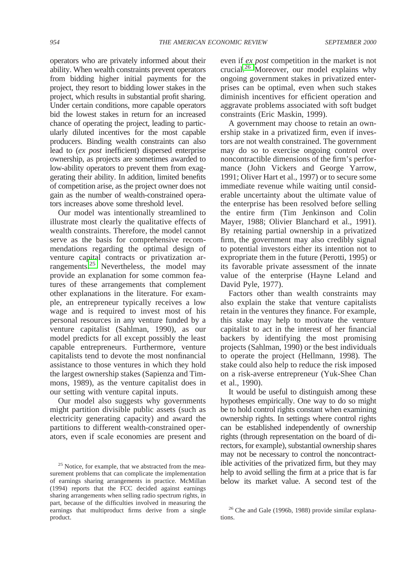operators who are privately informed about their ability. When wealth constraints prevent operators from bidding higher initial payments for the project, they resort to bidding lower stakes in the project, which results in substantial profit sharing. Under certain conditions, more capable operators bid the lowest stakes in return for an increased chance of operating the project, leading to particularly diluted incentives for the most capable producers. Binding wealth constraints can also lead to (*ex post* inefficient) dispersed enterprise ownership, as projects are sometimes awarded to low-ability operators to prevent them from exaggerating their ability. In addition, limited benefits of competition arise, as the project owner does not gain as the number of wealth-constrained operators increases above some threshold level.

Our model was intentionally streamlined to illustrate most clearly the qualitative effects of wealth constraints. Therefore, the model cannot serve as the basis for comprehensive recommendations regarding the optimal design of venture capital contracts or privatization arrangements.<sup>25</sup> Nevertheless, the model may provide an explanation for some common features of these arrangements that complement other explanations in the literature. For example, an entrepreneur typically receives a low wage and is required to invest most of his personal resources in any venture funded by a venture capitalist (Sahlman, 1990), as our model predicts for all except possibly the least capable entrepreneurs. Furthermore, venture capitalists tend to devote the most nonfinancial assistance to those ventures in which they hold the largest ownership stakes (Sapienza and Timmons, 1989), as the venture capitalist does in our setting with venture capital inputs.

Our model also suggests why governments might partition divisible public assets (such as electricity generating capacity) and award the partitions to different wealth-constrained operators, even if scale economies are present and even if *ex post* competition in the market is not crucial.<sup>26</sup> Moreover, our model explains why ongoing government stakes in privatized enterprises can be optimal, even when such stakes diminish incentives for efficient operation and aggravate problems associated with soft budget constraints (Eric Maskin, 1999).

A government may choose to retain an ownership stake in a privatized firm, even if investors are not wealth constrained. The government may do so to exercise ongoing control over noncontractible dimensions of the firm's performance (John Vickers and George Yarrow, 1991; Oliver Hart et al., 1997) or to secure some immediate revenue while waiting until considerable uncertainty about the ultimate value of the enterprise has been resolved before selling the entire firm (Tim Jenkinson and Colin Mayer, 1988; Olivier Blanchard et al., 1991). By retaining partial ownership in a privatized firm, the government may also credibly signal to potential investors either its intention not to expropriate them in the future (Perotti, 1995) or its favorable private assessment of the innate value of the enterprise (Hayne Leland and David Pyle, 1977).

Factors other than wealth constraints may also explain the stake that venture capitalists retain in the ventures they finance. For example, this stake may help to motivate the venture capitalist to act in the interest of her financial backers by identifying the most promising projects (Sahlman, 1990) or the best individuals to operate the project (Hellmann, 1998). The stake could also help to reduce the risk imposed on a risk-averse entrepreneur (Yuk-Shee Chan et al., 1990).

It would be useful to distinguish among these hypotheses empirically. One way to do so might be to hold control rights constant when examining ownership rights. In settings where control rights can be established independently of ownership rights (through representation on the board of directors, for example), substantial ownership shares may not be necessary to control the noncontractible activities of the privatized firm, but they may help to avoid selling the firm at a price that is far below its market value. A second test of the

<sup>&</sup>lt;sup>25</sup> Notice, for example, that we abstracted from the measurement problems that can complicate the implementation of earnings sharing arrangements in practice. McMillan (1994) reports that the FCC decided against earnings sharing arrangements when selling radio spectrum rights, in part, because of the difficulties involved in measuring the earnings that multiproduct firms derive from a single product.

<sup>26</sup> Che and Gale (1996b, 1988) provide similar explanations.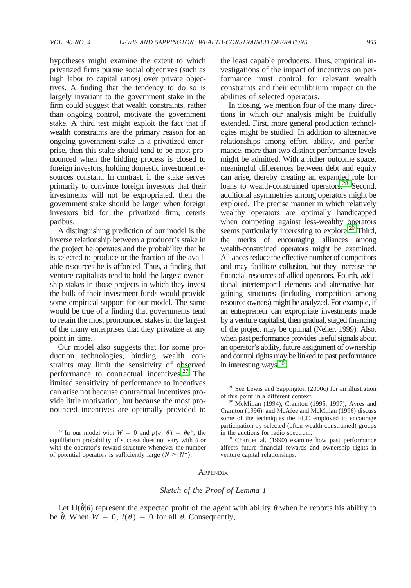hypotheses might examine the extent to which privatized firms pursue social objectives (such as high labor to capital ratios) over private objectives. A finding that the tendency to do so is largely invariant to the government stake in the firm could suggest that wealth constraints, rather than ongoing control, motivate the government stake. A third test might exploit the fact that if wealth constraints are the primary reason for an ongoing government stake in a privatized enterprise, then this stake should tend to be most pronounced when the bidding process is closed to foreign investors, holding domestic investment resources constant. In contrast, if the stake serves primarily to convince foreign investors that their investments will not be expropriated, then the government stake should be larger when foreign investors bid for the privatized firm, ceteris paribus.

A distinguishing prediction of our model is the inverse relationship between a producer's stake in the project he operates and the probability that he is selected to produce or the fraction of the available resources he is afforded. Thus, a finding that venture capitalists tend to hold the largest ownership stakes in those projects in which they invest the bulk of their investment funds would provide some empirical support for our model. The same would be true of a finding that governments tend to retain the most pronounced stakes in the largest of the many enterprises that they privatize at any point in time.

Our model also suggests that for some production technologies, binding wealth constraints may limit the sensitivity of observed performance to contractual incentives.<sup>27</sup> The limited sensitivity of performance to incentives can arise not because contractual incentives provide little motivation, but because the most pronounced incentives are optimally provided to

the least capable producers. Thus, empirical investigations of the impact of incentives on performance must control for relevant wealth constraints and their equilibrium impact on the abilities of selected operators.

In closing, we mention four of the many directions in which our analysis might be fruitfully extended. First, more general production technologies might be studied. In addition to alternative relationships among effort, ability, and performance, more than two distinct performance levels might be admitted. With a richer outcome space, meaningful differences between debt and equity can arise, thereby creating an expanded role for loans to wealth-constrained operators.<sup>28</sup> Second, additional asymmetries among operators might be explored. The precise manner in which relatively wealthy operators are optimally handicapped when competing against less-wealthy operators seems particularly interesting to explore.<sup>29</sup> Third, the merits of encouraging alliances among wealth-constrained operators might be examined. Alliances reduce the effective number of competitors and may facilitate collusion, but they increase the financial resources of allied operators. Fourth, additional intertemporal elements and alternative bargaining structures (including competition among resource owners) might be analyzed. For example, if an entrepreneur can expropriate investments made by a venture capitalist, then gradual, staged financing of the project may be optimal (Neher, 1999). Also, when past performance provides useful signals about an operator's ability, future assignment of ownership and control rights may be linked to past performance in interesting ways.30

<sup>28</sup> See Lewis and Sappington (2000c) for an illustration of this point in a different context. <sup>29</sup> McMillan (1994), Cramton (1995, 1997), Ayres and

Cramton (1996), and McAfee and McMillan (1996) discuss some of the techniques the FCC employed to encourage participation by selected (often wealth-constrained) groups in the auctions for radio spectrum.<br><sup>30</sup> Chan et al. (1990) examine how past performance

affects future financial rewards and ownership rights in venture capital relationships.

## **APPENDIX**

#### *Sketch of the Proof of Lemma 1*

Let  $\Pi(\hat{\theta}|\theta)$  represent the expected profit of the agent with ability  $\theta$  when he reports his ability to be  $\hat{\theta}$ . When  $W = 0$ ,  $I(\theta) = 0$  for all  $\theta$ . Consequently,

<sup>&</sup>lt;sup>27</sup> In our model with  $W = 0$  and  $p(e, \theta) = \theta e^{\gamma}$ , the equilibrium probability of success does not vary with  $\theta$  or with the operator's reward structure whenever the number of potential operators is sufficiently large ( $N \ge N^*$ ).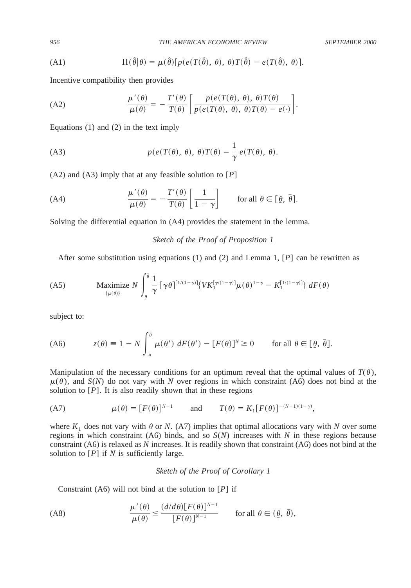(A1) 
$$
\Pi(\hat{\theta}|\theta) = \mu(\hat{\theta})[p(e(T(\hat{\theta}), \theta), \theta)T(\hat{\theta}) - e(T(\hat{\theta}), \theta)].
$$

Incentive compatibility then provides

(A2) 
$$
\frac{\mu'(\theta)}{\mu(\theta)} = -\frac{T'(\theta)}{T(\theta)} \left[ \frac{p(e(T(\theta), \theta), \theta)T(\theta)}{p(e(T(\theta), \theta), \theta)T(\theta) - e(\cdot)} \right].
$$

Equations (1) and (2) in the text imply

(A3) 
$$
p(e(T(\theta), \theta), \theta)T(\theta) = \frac{1}{\gamma}e(T(\theta), \theta).
$$

(A2) and (A3) imply that at any feasible solution to [*P*]

(A4) 
$$
\frac{\mu'(\theta)}{\mu(\theta)} = -\frac{T'(\theta)}{T(\theta)} \left[ \frac{1}{1-\gamma} \right] \quad \text{for all } \theta \in [\underline{\theta}, \overline{\theta}].
$$

Solving the differential equation in (A4) provides the statement in the lemma.

*Sketch of the Proof of Proposition 1*

After some substitution using equations (1) and (2) and Lemma 1, [*P*] can be rewritten as

$$
\text{(A5)} \qquad \text{Maximize } N \int_{\theta}^{\bar{\theta}} \frac{1}{\gamma} \left[ \gamma \theta \right]^{[1/(1-\gamma)]} \{ V K_1^{[\gamma/(1-\gamma)]} \mu(\theta)^{1-\gamma} - K_1^{[1/(1-\gamma)]} \} \, dF(\theta)
$$

subject to:

(A6) 
$$
z(\theta) \equiv 1 - N \int_{\theta}^{\overline{\theta}} \mu(\theta') dF(\theta') - [F(\theta)]^N \ge 0 \quad \text{for all } \theta \in [\theta, \overline{\theta}].
$$

Manipulation of the necessary conditions for an optimum reveal that the optimal values of  $T(\theta)$ ,  $\mu(\theta)$ , and *S*(*N*) do not vary with *N* over regions in which constraint (A6) does not bind at the solution to  $[P]$ . It is also readily shown that in these regions

(A7) 
$$
\mu(\theta) = [F(\theta)]^{N-1} \quad \text{and} \quad T(\theta) = K_1[F(\theta)]^{-(N-1)(1-\gamma)},
$$

where  $K_1$  does not vary with  $\theta$  or *N*. (A7) implies that optimal allocations vary with *N* over some regions in which constraint (A6) binds, and so *S*(*N*) increases with *N* in these regions because constraint (A6) is relaxed as *N* increases. It is readily shown that constraint (A6) does not bind at the solution to  $[P]$  if *N* is sufficiently large.

## *Sketch of the Proof of Corollary 1*

Constraint (A6) will not bind at the solution to [*P*] if

$$
\text{(A8)} \quad \frac{\mu'(\theta)}{\mu(\theta)} \le \frac{(d/d\theta)[F(\theta)]^{N-1}}{[F(\theta)]^{N-1}} \quad \text{for all } \theta \in (\underline{\theta}, \bar{\theta}),
$$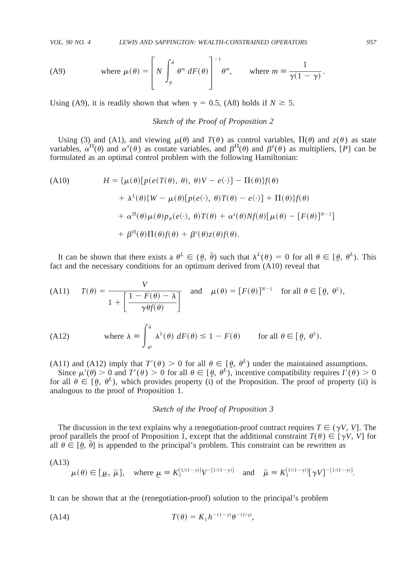(A9) where 
$$
\mu(\theta) = \left[ N \int_{\theta}^{\bar{\theta}} \theta^m dF(\theta) \right]^{-1} \theta^m
$$
, where  $m \equiv \frac{1}{\gamma(1-\gamma)}$ .

Using (A9), it is readily shown that when  $\gamma = 0.5$ , (A8) holds if  $N \ge 5$ .

# *Sketch of the Proof of Proposition 2*

Using (3) and (A1), and viewing  $\mu(\theta)$  and  $T(\theta)$  as control variables,  $\Pi(\theta)$  and  $z(\theta)$  as state variables,  $\alpha^{\Pi}(\theta)$  and  $\alpha^{z}(\theta)$  as costate variables, and  $\beta^{\Pi}(\theta)$  and  $\beta^{z}(\theta)$  as multipliers, [P] can be formulated as an optimal control problem with the following Hamiltonian:

(A10) 
$$
H = \{\mu(\theta)[p(e(T(\theta), \theta), \theta)V - e(\cdot)] - \Pi(\theta)\}f(\theta) + \lambda^{L}(\theta)\{W - \mu(\theta)[p(e(\cdot), \theta)T(\theta) - e(\cdot)] + \Pi(\theta)\}f(\theta) + \alpha^{\Pi}(\theta)\mu(\theta)p_{\theta}(e(\cdot), \theta)T(\theta) + \alpha^{z}(\theta)Nf(\theta)[\mu(\theta) - [F(\theta)]^{N-1}] + \beta^{\Pi}(\theta)\Pi(\theta)f(\theta) + \beta^{z}(\theta)z(\theta)f(\theta).
$$

It can be shown that there exists a  $\theta^L \in (\theta, \bar{\theta})$  such that  $\lambda^L(\theta) = 0$  for all  $\theta \in [\theta, \theta^L)$ . This fact and the necessary conditions for an optimum derived from (A10) reveal that

(A11) 
$$
T(\theta) = \frac{V}{1 + \left[\frac{1 - F(\theta) - \lambda}{\gamma \theta f(\theta)}\right]}
$$
 and  $\mu(\theta) = [F(\theta)]^{N-1}$  for all  $\theta \in [\theta, \theta^L)$ ,  
(A12) where  $\lambda \equiv \int_{\theta^L}^{\bar{\theta}} \lambda^L(\theta) dF(\theta) \le 1 - F(\theta)$  for all  $\theta \in [\theta, \theta^L)$ .

(A11) and (A12) imply that  $T'(\theta) > 0$  for all  $\theta \in [\theta, \theta^L)$  under the maintained assumptions.

Since  $\mu'(\theta) > 0$  and  $T'(\theta) > 0$  for all  $\theta \in [\theta, \theta^L]$ , incentive compatibility requires  $I'(\theta) > 0$ for all  $\theta \in [\theta, \theta^L)$ , which provides property (i) of the Proposition. The proof of property (ii) is analogous to the proof of Proposition 1.

# *Sketch of the Proof of Proposition 3*

The discussion in the text explains why a renegotiation-proof contract requires  $T \in (\gamma V, V]$ . The proof parallels the proof of Proposition 1, except that the additional constraint  $T(\theta) \in [\gamma V, V]$  for all  $\theta \in [\theta, \overline{\theta}]$  is appended to the principal's problem. This constraint can be rewritten as

(A13) 
$$
\mu(\theta) \in [\mu, \bar{\mu}],
$$
 where  $\underline{\mu} \equiv K_1^{[1/(1-\gamma)]} V^{-[1/(1-\gamma)]}$  and  $\bar{\mu} \equiv K_1^{[1/(1-\gamma)]} [\gamma V]^{-[1/(1-\gamma)]}$ .

It can be shown that at the (renegotiation-proof) solution to the principal's problem

$$
T(\theta) = K_1 h^{-(1-\gamma)} \theta^{-(1/\gamma)},
$$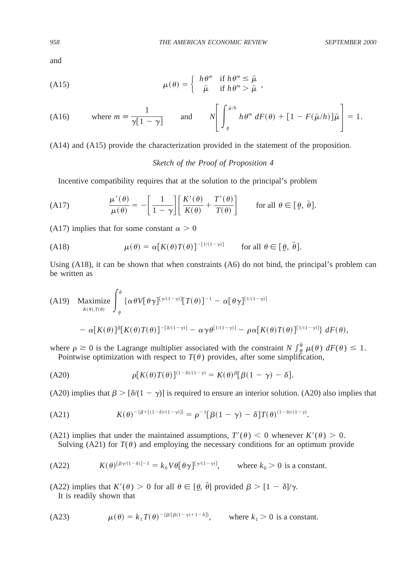and

(A15) 
$$
\mu(\theta) = \begin{cases} h \theta^m & \text{if } h \theta^m \leq \bar{\mu} \\ \bar{\mu} & \text{if } h \theta^m > \bar{\mu} \end{cases},
$$

(A16) where 
$$
m = \frac{1}{\gamma[1-\gamma]}
$$
 and  $N\left[\int_{\theta}^{\bar{\mu}/h} h \theta^m dF(\theta) + [1 - F(\bar{\mu}/h)]\bar{\mu}\right] = 1.$ 

(A14) and (A15) provide the characterization provided in the statement of the proposition.

# *Sketch of the Proof of Proposition 4*

Incentive compatibility requires that at the solution to the principal's problem

(A17) 
$$
\frac{\mu'(\theta)}{\mu(\theta)} = -\left[\frac{1}{1-\gamma}\right] \left[\frac{K'(\theta)}{K(\theta)} + \frac{T'(\theta)}{T(\theta)}\right] \quad \text{for all } \theta \in [\underline{\theta}, \overline{\theta}].
$$

(A17) implies that for some constant  $\alpha > 0$ 

(A18) 
$$
\mu(\theta) = \alpha [K(\theta) T(\theta)]^{-[1/(1-\gamma)]} \quad \text{for all } \theta \in [\underline{\theta}, \overline{\theta}].
$$

Using (A18), it can be shown that when constraints (A6) do not bind, the principal's problem can be written as

(A19) Maximize 
$$
\int_{\theta}^{\theta} {\alpha \theta V[\theta \gamma]^{[\gamma((1-\gamma)]}[T(\theta)]^{-1} - \alpha [\theta \gamma]^{[1/(1-\gamma)]}} - \alpha [K(\theta)T(\theta)]^{\beta} [K(\theta)T(\theta)]^{-[\delta/(1-\gamma)]} - \alpha \gamma \theta^{[1/(1-\gamma)]} - \rho \alpha [K(\theta)T(\theta)]^{[1/(1-\gamma)]} dF(\theta),
$$

where  $\rho \ge 0$  is the Lagrange multiplier associated with the constraint *N*  $\int_{\theta}^{\overline{\theta}} \mu(\theta) dF(\theta) \le 1$ . Pointwise optimization with respect to  $T(\theta)$  provides, after some simplification,

(A20) 
$$
\rho[K(\theta)T(\theta)]^{(1-\delta)/(1-\gamma)} = K(\theta)^{\beta}[\beta(1-\gamma)-\delta].
$$

(A20) implies that  $\beta > [\delta/(1 - \gamma)]$  is required to ensure an interior solution. (A20) also implies that

(A21) 
$$
K(\theta)^{-\{\beta + [(1-\delta)/(1-\gamma)]\}} = \rho^{-1}[\beta(1-\gamma) - \delta]T(\theta)^{(1-\delta)/(1-\gamma)}.
$$

(A21) implies that under the maintained assumptions,  $T'(\theta) < 0$  whenever  $K'(\theta) > 0$ . Solving (A21) for  $T(\theta)$  and employing the necessary conditions for an optimum provide

(A22) 
$$
K(\theta)^{[\beta\gamma/(1-\delta)]-1} = k_0 V \theta [\theta \gamma]^{[\gamma/(1-\gamma)]}, \quad \text{where } k_0 > 0 \text{ is a constant.}
$$

(A22) implies that  $K'(\theta) > 0$  for all  $\theta \in [\theta, \bar{\theta}]$  provided  $\beta > [1 - \delta]/\gamma$ .

It is readily shown that

(A23) 
$$
\mu(\theta) = k_1 T(\theta)^{-\{\beta[\beta(1-\gamma)+1-\delta]\}}, \quad \text{where } k_1 > 0 \text{ is a constant.}
$$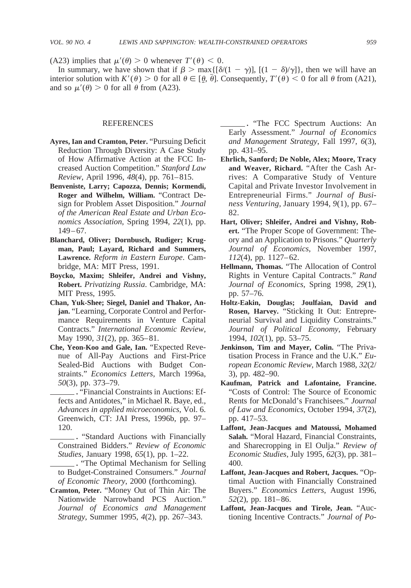(A23) implies that  $\mu'(\theta) > 0$  whenever  $T'(\theta) < 0$ .

In summary, we have shown that if  $\beta > \max\{[\delta(1 - \gamma)], [(1 - \delta)/\gamma]\}\$ , then we will have an interior solution with  $K'(\theta) > 0$  for all  $\theta \in [\theta, \theta]$ . Consequently,  $T'(\theta) < 0$  for all  $\theta$  from (A21), and so  $\mu'(\theta) > 0$  for all  $\theta$  from (A23).

## REFERENCES

- **Ayres, Ian and Cramton, Peter.** "Pursuing Deficit Reduction Through Diversity: A Case Study of How Affirmative Action at the FCC Increased Auction Competition." *Stanford Law Review*, April 1996, *48*(4), pp. 761–815.
- **Benveniste, Larry; Capozza, Dennis; Kormendi, Roger and Wilhelm, William.** "Contract Design for Problem Asset Disposition." *Journal of the American Real Estate and Urban Economics Association*, Spring 1994, *22*(1), pp. 149–67.
- **Blanchard, Oliver; Dornbusch, Rudiger; Krugman, Paul; Layard, Richard and Summers, Lawrence.** *Reform in Eastern Europe*. Cambridge, MA: MIT Press, 1991.
- **Boycko, Maxim; Shleifer, Andrei and Vishny, Robert.** *Privatizing Russia*. Cambridge, MA: MIT Press, 1995.
- **Chan, Yuk-Shee; Siegel, Daniel and Thakor, Anjan.** "Learning, Corporate Control and Performance Requirements in Venture Capital Contracts." *International Economic Review*, May 1990, *31*(2), pp. 365–81.
- **Che, Yeon-Koo and Gale, Ian.** "Expected Revenue of All-Pay Auctions and First-Price Sealed-Bid Auctions with Budget Constraints." *Economics Letters*, March 1996a, *50*(3), pp. 373–79.
- **.** "Financial Constraints in Auctions: Effects and Antidotes," in Michael R. Baye, ed., *Advances in applied microeconomics*, Vol. 6. Greenwich, CT: JAI Press, 1996b, pp. 97– 120.
	- **.** "Standard Auctions with Financially Constrained Bidders." *Review of Economic Studies*, January 1998, *65*(1), pp. 1–22.
- **.** "The Optimal Mechanism for Selling to Budget-Constrained Consumers." *Journal of Economic Theory*, 2000 (forthcoming).
- **Cramton, Peter.** "Money Out of Thin Air: The Nationwide Narrowband PCS Auction." *Journal of Economics and Management Strategy*, Summer 1995, *4*(2), pp. 267–343.

**.** "The FCC Spectrum Auctions: An Early Assessment." *Journal of Economics and Management Strategy*, Fall 1997, *6*(3), pp. 431–95.

- **Ehrlich, Sanford; De Noble, Alex; Moore, Tracy and Weaver, Richard.** "After the Cash Arrives: A Comparative Study of Venture Capital and Private Investor Involvement in Entrepreneurial Firms." *Journal of Business Venturing*, January 1994, *9*(1), pp. 67– 82.
- **Hart, Oliver; Shleifer, Andrei and Vishny, Robert.** "The Proper Scope of Government: Theory and an Application to Prisons." *Quarterly Journal of Economics*, November 1997, *112*(4), pp. 1127–62.
- **Hellmann, Thomas.** "The Allocation of Control Rights in Venture Capital Contracts." *Rand Journal of Economics*, Spring 1998, *29*(1), pp. 57–76.
- **Holtz-Eakin, Douglas; Joulfaian, David and Rosen, Harvey.** "Sticking It Out: Entrepreneurial Survival and Liquidity Constraints." *Journal of Political Economy*, February 1994, *102*(1), pp. 53–75.
- **Jenkinson, Tim and Mayer, Colin.** "The Privatisation Process in France and the U.K." *European Economic Review*, March 1988, *32*(2/ 3), pp. 482–90.
- **Kaufman, Patrick and Lafontaine, Francine.** "Costs of Control: The Source of Economic Rents for McDonald's Franchisees." *Journal of Law and Economics*, October 1994, *37*(2), pp. 417–53.
- **Laffont, Jean-Jacques and Matoussi, Mohamed Salah.** "Moral Hazard, Financial Constraints, and Sharecropping in El Oulja." *Review of Economic Studies*, July 1995, *62*(3), pp. 381– 400.
- **Laffont, Jean-Jacques and Robert, Jacques.** "Optimal Auction with Financially Constrained Buyers." *Economics Letters*, August 1996, *52*(2), pp. 181–86.
- **Laffont, Jean-Jacques and Tirole, Jean.** "Auctioning Incentive Contracts." *Journal of Po-*